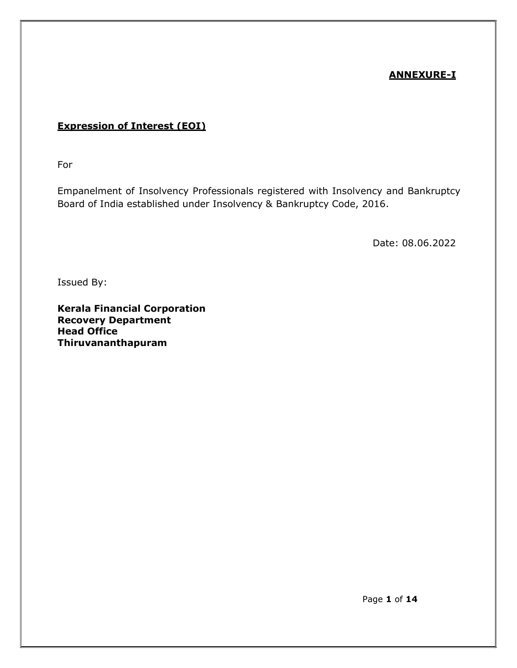## ANNEXURE-I

## Expression of Interest (EOI)

For

Empanelment of Insolvency Professionals registered with Insolvency and Bankruptcy Board of India established under Insolvency & Bankruptcy Code, 2016.

Date: 08.06.2022

Issued By:

Kerala Financial Corporation Recovery Department Head Office Thiruvananthapuram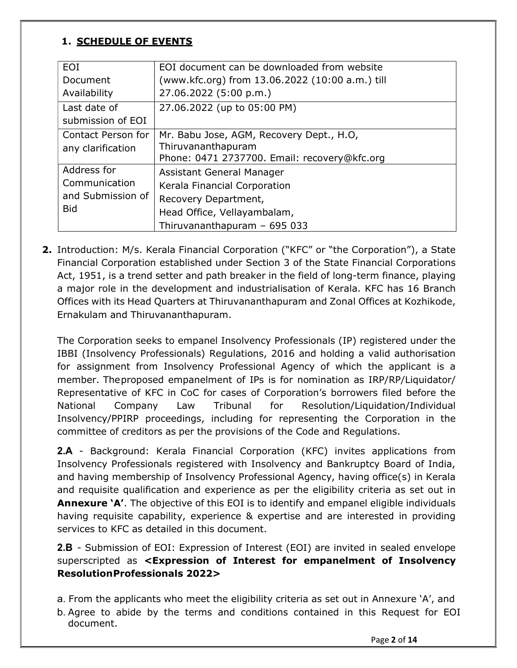# 1. SCHEDULE OF EVENTS

| <b>EOI</b>         | EOI document can be downloaded from website     |  |  |
|--------------------|-------------------------------------------------|--|--|
| Document           | (www.kfc.org) from 13.06.2022 (10:00 a.m.) till |  |  |
| Availability       | 27.06.2022 (5:00 p.m.)                          |  |  |
| Last date of       | 27.06.2022 (up to 05:00 PM)                     |  |  |
| submission of EOI  |                                                 |  |  |
| Contact Person for | Mr. Babu Jose, AGM, Recovery Dept., H.O,        |  |  |
| any clarification  | Thiruvananthapuram                              |  |  |
|                    | Phone: 0471 2737700. Email: recovery@kfc.org    |  |  |
| Address for        | Assistant General Manager                       |  |  |
| Communication      | Kerala Financial Corporation                    |  |  |
| and Submission of  | Recovery Department,                            |  |  |
| <b>Bid</b>         | Head Office, Vellayambalam,                     |  |  |
|                    | Thiruvananthapuram - 695 033                    |  |  |

2. Introduction: M/s. Kerala Financial Corporation ("KFC" or "the Corporation"), a State Financial Corporation established under Section 3 of the State Financial Corporations Act, 1951, is a trend setter and path breaker in the field of long-term finance, playing a major role in the development and industrialisation of Kerala. KFC has 16 Branch Offices with its Head Quarters at Thiruvananthapuram and Zonal Offices at Kozhikode, Ernakulam and Thiruvananthapuram.

The Corporation seeks to empanel Insolvency Professionals (IP) registered under the IBBI (Insolvency Professionals) Regulations, 2016 and holding a valid authorisation for assignment from Insolvency Professional Agency of which the applicant is a member. The proposed empanelment of IPs is for nomination as IRP/RP/Liquidator/ Representative of KFC in CoC for cases of Corporation's borrowers filed before the National Company Law Tribunal for Resolution/Liquidation/Individual Insolvency/PPIRP proceedings, including for representing the Corporation in the committee of creditors as per the provisions of the Code and Regulations.

2.A - Background: Kerala Financial Corporation (KFC) invites applications from Insolvency Professionals registered with Insolvency and Bankruptcy Board of India, and having membership of Insolvency Professional Agency, having office(s) in Kerala and requisite qualification and experience as per the eligibility criteria as set out in **Annexure 'A'.** The objective of this EOI is to identify and empanel eligible individuals having requisite capability, experience & expertise and are interested in providing services to KFC as detailed in this document.

2.B - Submission of EOI: Expression of Interest (EOI) are invited in sealed envelope superscripted as <Expression of Interest for empanelment of Insolvency Resolution Professionals 2022>

a. From the applicants who meet the eligibility criteria as set out in Annexure 'A', and b. Agree to abide by the terms and conditions contained in this Request for EOI document.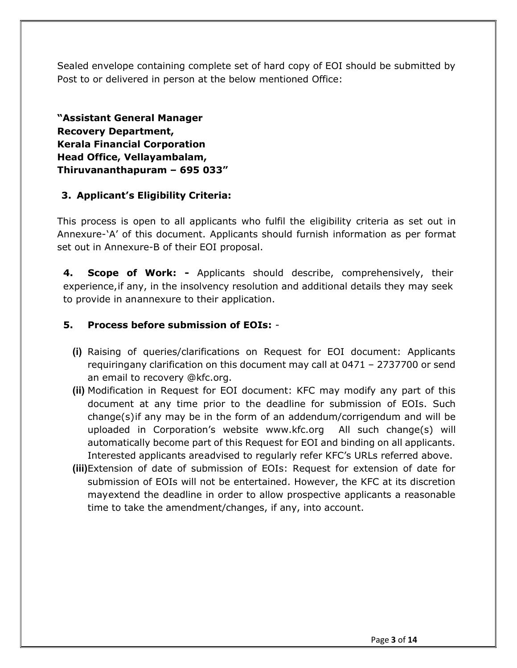Sealed envelope containing complete set of hard copy of EOI should be submitted by Post to or delivered in person at the below mentioned Office:

"Assistant General Manager Recovery Department, Kerala Financial Corporation Head Office, Vellayambalam, Thiruvananthapuram – 695 033"

## 3. Applicant's Eligibility Criteria:

This process is open to all applicants who fulfil the eligibility criteria as set out in Annexure- 'A' of this document. Applicants should furnish information as per format set out in Annexure-B of their EOI proposal.

4. Scope of Work: - Applicants should describe, comprehensively, their experience, if any, in the insolvency resolution and additional details they may seek to provide in an annexure to their application.

## 5. Process before submission of EOIs: -

- (i) Raising of queries/clarifications on Request for EOI document: Applicants requiring any clarification on this document may call at 0471 – 2737700 or send an email to recovery @kfc.org.
- (ii) Modification in Request for EOI document: KFC may modify any part of this document at any time prior to the deadline for submission of EOIs. Such change(s) if any may be in the form of an addendum/corrigendum and will be uploaded in Corporation's website www.kfc.org All such change(s) will automatically become part of this Request for EOI and binding on all applicants. Interested applicants are advised to regularly refer KFC's URLs referred above.
- (iii)Extension of date of submission of EOIs: Request for extension of date for submission of EOIs will not be entertained. However, the KFC at its discretion may extend the deadline in order to allow prospective applicants a reasonable time to take the amendment/changes, if any, into account.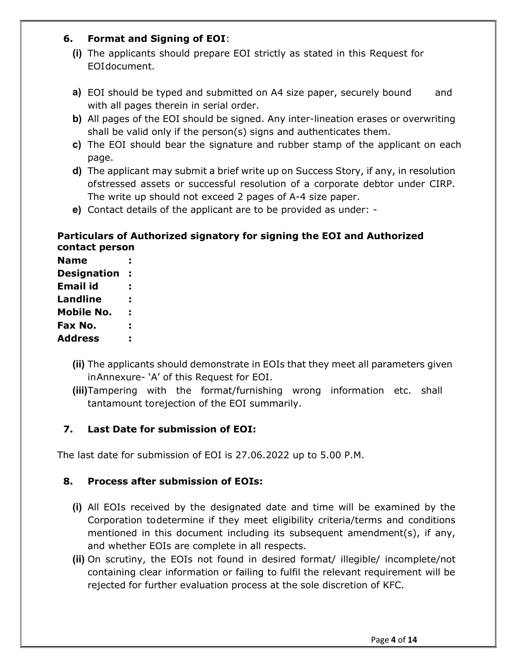## 6. Format and Signing of EOI:

- (i) The applicants should prepare EOI strictly as stated in this Request for EOI document.
- a) EOI should be typed and submitted on A4 size paper, securely bound and with all pages therein in serial order.
- b) All pages of the EOI should be signed. Any inter-lineation erases or overwriting shall be valid only if the person(s) signs and authenticates them.
- c) The EOI should bear the signature and rubber stamp of the applicant on each page.
- d) The applicant may submit a brief write up on Success Story, if any, in resolution of stressed assets or successful resolution of a corporate debtor under CIRP. The write up should not exceed 2 pages of A-4 size paper.
- e) Contact details of the applicant are to be provided as under: -

### Particulars of Authorized signatory for signing the EOI and Authorized contact person

| <b>Name</b>        |  |
|--------------------|--|
| <b>Designation</b> |  |
| Email id           |  |
| Landline           |  |
| Mobile No.         |  |
| Fax No.            |  |
| <b>Address</b>     |  |

- (ii) The applicants should demonstrate in EOIs that they meet all parameters given in Annexure- 'A' of this Request for EOI.
- (iii)Tampering with the format/furnishing wrong information etc. shall tantamount to rejection of the EOI summarily.

## 7. Last Date for submission of EOI:

The last date for submission of EOI is 27.06.2022 up to 5.00 P.M.

#### 8. Process after submission of EOIs:

- (i) All EOIs received by the designated date and time will be examined by the Corporation to determine if they meet eligibility criteria/terms and conditions mentioned in this document including its subsequent amendment(s), if any, and whether EOIs are complete in all respects.
- (ii) On scrutiny, the EOIs not found in desired format/ illegible/ incomplete/not containing clear information or failing to fulfil the relevant requirement will be rejected for further evaluation process at the sole discretion of KFC.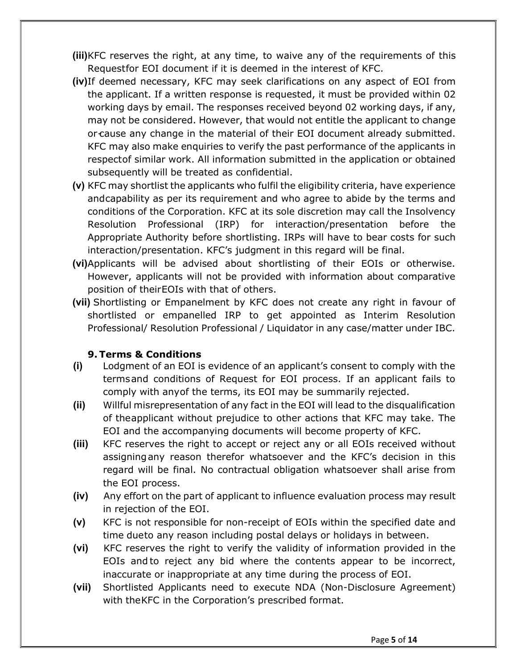- (iii)KFC reserves the right, at any time, to waive any of the requirements of this Request for EOI document if it is deemed in the interest of KFC.
- (iv)If deemed necessary, KFC may seek clarifications on any aspect of EOI from the applicant. If a written response is requested, it must be provided within 02 working days by email. The responses received beyond 02 working days, if any, may not be considered. However, that would not entitle the applicant to change or cause any change in the material of their EOI document already submitted. KFC may also make enquiries to verify the past performance of the applicants in respectof similar work. All information submitted in the application or obtained subsequently will be treated as confidential.
- (v) KFC may shortlist the applicants who fulfil the eligibility criteria, have experience and capability as per its requirement and who agree to abide by the terms and conditions of the Corporation. KFC at its sole discretion may call the Insolvency Resolution Professional (IRP) for interaction/presentation before the Appropriate Authority before shortlisting. IRPs will have to bear costs for such interaction/presentation. KFC's judgment in this regard will be final.
- (vi)Applicants will be advised about shortlisting of their EOIs or otherwise. However, applicants will not be provided with information about comparative position of their EOIs with that of others.
- (vii) Shortlisting or Empanelment by KFC does not create any right in favour of shortlisted or empanelled IRP to get appointed as Interim Resolution Professional/ Resolution Professional / Liquidator in any case/matter under IBC.

#### 9. Terms & Conditions

- (i) Lodgment of an EOI is evidence of an applicant's consent to comply with the terms and conditions of Request for EOI process. If an applicant fails to comply with any of the terms, its EOI may be summarily rejected.
- (ii) Willful misrepresentation of any fact in the EOI will lead to the disqualification of the applicant without prejudice to other actions that KFC may take. The EOI and the accompanying documents will become property of KFC.
- (iii) KFC reserves the right to accept or reject any or all EOIs received without assigning any reason therefor whatsoever and the KFC's decision in this regard will be final. No contractual obligation whatsoever shall arise from the EOI process.
- (iv) Any effort on the part of applicant to influence evaluation process may result in rejection of the EOI.
- (v) KFC is not responsible for non-receipt of EOIs within the specified date and time dueto any reason including postal delays or holidays in between.
- (vi) KFC reserves the right to verify the validity of information provided in the EOIs and to reject any bid where the contents appear to be incorrect, inaccurate or inappropriate at any time during the process of EOI.
- (vii) Shortlisted Applicants need to execute NDA (Non-Disclosure Agreement) with the KFC in the Corporation's prescribed format.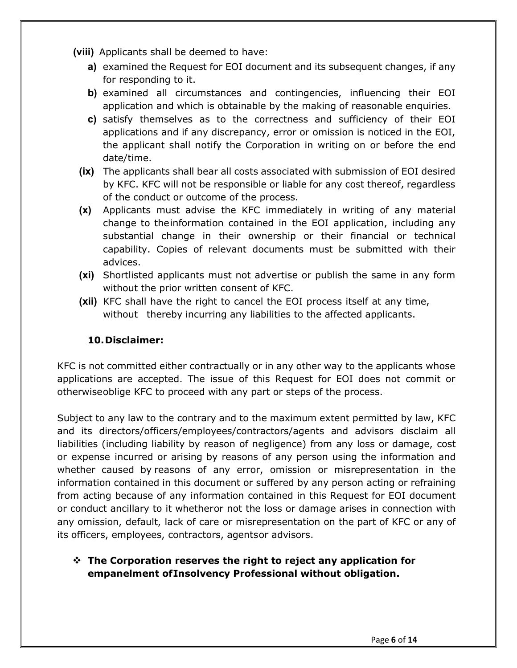(viii) Applicants shall be deemed to have:

- a) examined the Request for EOI document and its subsequent changes, if any for responding to it.
- b) examined all circumstances and contingencies, influencing their EOI application and which is obtainable by the making of reasonable enquiries.
- c) satisfy themselves as to the correctness and sufficiency of their EOI applications and if any discrepancy, error or omission is noticed in the EOI, the applicant shall notify the Corporation in writing on or before the end date/time.
- (ix) The applicants shall bear all costs associated with submission of EOI desired by KFC. KFC will not be responsible or liable for any cost thereof, regardless of the conduct or outcome of the process.
- (x) Applicants must advise the KFC immediately in writing of any material change to the information contained in the EOI application, including any substantial change in their ownership or their financial or technical capability. Copies of relevant documents must be submitted with their advices.
- (xi) Shortlisted applicants must not advertise or publish the same in any form without the prior written consent of KFC.
- (xii) KFC shall have the right to cancel the EOI process itself at any time, without thereby incurring any liabilities to the affected applicants.

## 10.Disclaimer:

KFC is not committed either contractually or in any other way to the applicants whose applications are accepted. The issue of this Request for EOI does not commit or otherwise oblige KFC to proceed with any part or steps of the process.

Subject to any law to the contrary and to the maximum extent permitted by law, KFC and its directors/officers/employees/contractors/agents and advisors disclaim all liabilities (including liability by reason of negligence) from any loss or damage, cost or expense incurred or arising by reasons of any person using the information and whether caused by reasons of any error, omission or misrepresentation in the information contained in this document or suffered by any person acting or refraining from acting because of any information contained in this Request for EOI document or conduct ancillary to it whetheror not the loss or damage arises in connection with any omission, default, lack of care or misrepresentation on the part of KFC or any of its officers, employees, contractors, agentsor advisors.

## $\div$  The Corporation reserves the right to reject any application for empanelment of Insolvency Professional without obligation.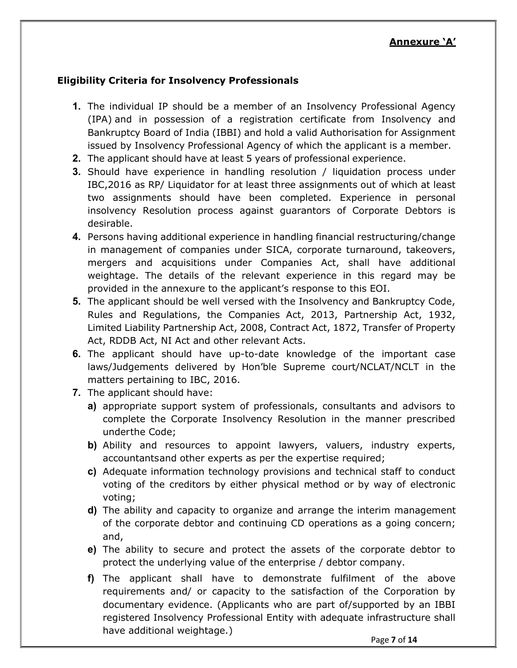#### Eligibility Criteria for Insolvency Professionals

- 1. The individual IP should be a member of an Insolvency Professional Agency (IPA) and in possession of a registration certificate from Insolvency and Bankruptcy Board of India (IBBI) and hold a valid Authorisation for Assignment issued by Insolvency Professional Agency of which the applicant is a member.
- 2. The applicant should have at least 5 years of professional experience.
- **3.** Should have experience in handling resolution / liquidation process under IBC,2016 as RP/ Liquidator for at least three assignments out of which at least two assignments should have been completed. Experience in personal insolvency Resolution process against guarantors of Corporate Debtors is desirable.
- 4. Persons having additional experience in handling financial restructuring/change in management of companies under SICA, corporate turnaround, takeovers, mergers and acquisitions under Companies Act, shall have additional weightage. The details of the relevant experience in this regard may be provided in the annexure to the applicant's response to this EOI.
- 5. The applicant should be well versed with the Insolvency and Bankruptcy Code, Rules and Regulations, the Companies Act, 2013, Partnership Act, 1932, Limited Liability Partnership Act, 2008, Contract Act, 1872, Transfer of Property Act, RDDB Act, NI Act and other relevant Acts.
- 6. The applicant should have up-to-date knowledge of the important case laws/Judgements delivered by Hon'ble Supreme court/NCLAT/NCLT in the matters pertaining to IBC, 2016.
- 7. The applicant should have:
	- a) appropriate support system of professionals, consultants and advisors to complete the Corporate Insolvency Resolution in the manner prescribed underthe Code;
	- b) Ability and resources to appoint lawyers, valuers, industry experts, accountants and other experts as per the expertise required;
	- c) Adequate information technology provisions and technical staff to conduct voting of the creditors by either physical method or by way of electronic voting;
	- d) The ability and capacity to organize and arrange the interim management of the corporate debtor and continuing CD operations as a going concern; and,
	- e) The ability to secure and protect the assets of the corporate debtor to protect the underlying value of the enterprise / debtor company.
	- f) The applicant shall have to demonstrate fulfilment of the above requirements and/ or capacity to the satisfaction of the Corporation by documentary evidence. (Applicants who are part of/supported by an IBBI registered Insolvency Professional Entity with adequate infrastructure shall have additional weightage.)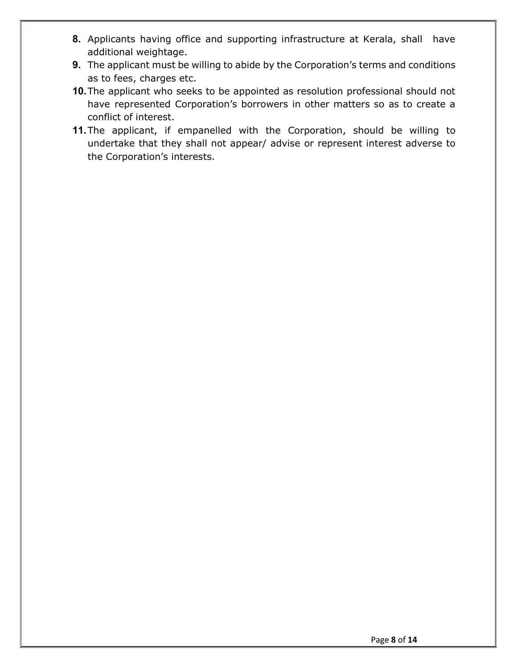- 8. Applicants having office and supporting infrastructure at Kerala, shall have additional weightage.
- 9. The applicant must be willing to abide by the Corporation's terms and conditions as to fees, charges etc.
- 10. The applicant who seeks to be appointed as resolution professional should not have represented Corporation's borrowers in other matters so as to create a conflict of interest.
- 11. The applicant, if empanelled with the Corporation, should be willing to undertake that they shall not appear/ advise or represent interest adverse to the Corporation's interests.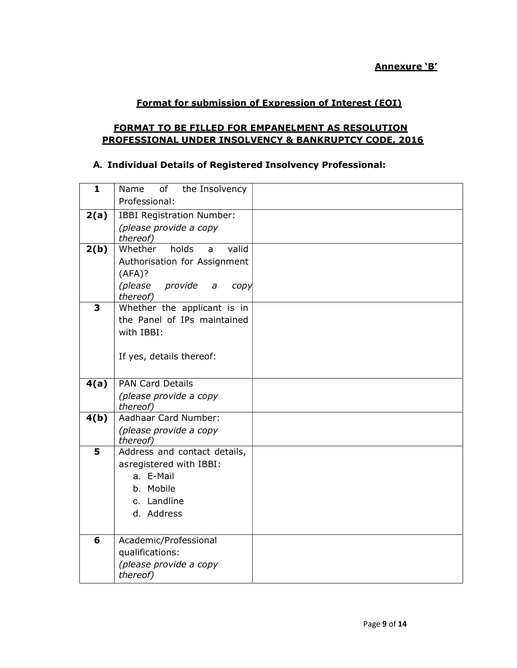Annexure 'B'

#### Format for submission of Expression of Interest (EOI)

#### FORMAT TO BE FILLED FOR EMPANELMENT AS RESOLUTION PROFESSIONAL UNDER INSOLVENCY & BANKRUPTCY CODE, 2016

### A. Individual Details of Registered Insolvency Professional:

| $\mathbf{1}$ | Name<br>of<br>the Insolvency             |  |
|--------------|------------------------------------------|--|
|              | Professional:                            |  |
| 2(a)         | <b>IBBI Registration Number:</b>         |  |
|              | (please provide a copy                   |  |
|              | thereof)                                 |  |
| 2(b)         | Whether<br>holds<br>valid<br>a           |  |
|              | Authorisation for Assignment             |  |
|              | (AFA)?                                   |  |
|              | (please<br>provide<br>$\partial$<br>copy |  |
| 3            | thereof)<br>Whether the applicant is in  |  |
|              | the Panel of IPs maintained              |  |
|              | with IBBI:                               |  |
|              |                                          |  |
|              | If yes, details thereof:                 |  |
|              |                                          |  |
| 4(a)         | <b>PAN Card Details</b>                  |  |
|              | (please provide a copy                   |  |
|              | thereof)                                 |  |
| 4(b)         | Aadhaar Card Number:                     |  |
|              | (please provide a copy                   |  |
|              | thereof)                                 |  |
| 5            | Address and contact details,             |  |
|              | asregistered with IBBI:                  |  |
|              | a. E-Mail                                |  |
|              | b. Mobile                                |  |
|              | c. Landline                              |  |
|              | d. Address                               |  |
|              |                                          |  |
| 6            | Academic/Professional                    |  |
|              | qualifications:                          |  |
|              | (please provide a copy                   |  |
|              | thereof)                                 |  |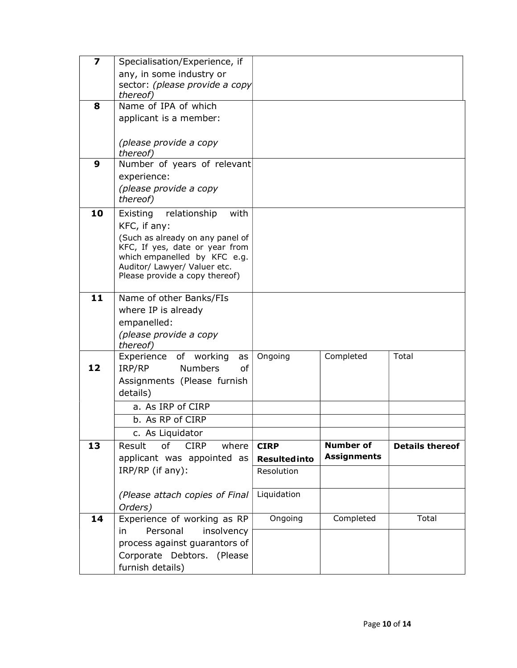| $\overline{7}$ | Specialisation/Experience, if                                  |                      |                    |                        |
|----------------|----------------------------------------------------------------|----------------------|--------------------|------------------------|
|                | any, in some industry or                                       |                      |                    |                        |
|                | sector: (please provide a copy                                 |                      |                    |                        |
|                | thereof)                                                       |                      |                    |                        |
| 8              | Name of IPA of which                                           |                      |                    |                        |
|                | applicant is a member:                                         |                      |                    |                        |
|                | (please provide a copy                                         |                      |                    |                        |
|                | thereof)                                                       |                      |                    |                        |
| 9              | Number of years of relevant                                    |                      |                    |                        |
|                | experience:                                                    |                      |                    |                        |
|                | (please provide a copy                                         |                      |                    |                        |
|                | thereof)                                                       |                      |                    |                        |
| 10             | with<br>Existing<br>relationship                               |                      |                    |                        |
|                | KFC, if any:                                                   |                      |                    |                        |
|                | (Such as already on any panel of                               |                      |                    |                        |
|                | KFC, If yes, date or year from<br>which empanelled by KFC e.g. |                      |                    |                        |
|                | Auditor/ Lawyer/ Valuer etc.                                   |                      |                    |                        |
|                | Please provide a copy thereof)                                 |                      |                    |                        |
| 11             | Name of other Banks/FIs                                        |                      |                    |                        |
|                | where IP is already                                            |                      |                    |                        |
|                | empanelled:                                                    |                      |                    |                        |
|                | (please provide a copy                                         |                      |                    |                        |
|                | thereof)                                                       |                      |                    |                        |
|                | Experience of working<br>as                                    | Ongoing              | Completed          | Total                  |
| 12             | <b>Numbers</b><br>IRP/RP<br>0f                                 |                      |                    |                        |
|                | Assignments (Please furnish                                    |                      |                    |                        |
|                | details)                                                       |                      |                    |                        |
|                | a. As IRP of CIRP                                              |                      |                    |                        |
|                | b. As RP of CIRP                                               |                      |                    |                        |
|                | c. As Liquidator                                               |                      |                    |                        |
| 13             | Result<br>of<br><b>CIRP</b><br>where                           | <b>CIRP</b>          | <b>Number of</b>   | <b>Details thereof</b> |
|                | applicant was appointed as                                     | <b>Resulted into</b> | <b>Assignments</b> |                        |
|                | IRP/RP (if any):                                               | Resolution           |                    |                        |
|                | (Please attach copies of Final                                 | Liquidation          |                    |                        |
|                | Orders)                                                        |                      |                    |                        |
| 14             | Experience of working as RP                                    | Ongoing              | Completed          | Total                  |
|                | Personal<br>insolvency<br>in                                   |                      |                    |                        |
|                | process against guarantors of                                  |                      |                    |                        |
|                | Corporate Debtors. (Please                                     |                      |                    |                        |
|                | furnish details)                                               |                      |                    |                        |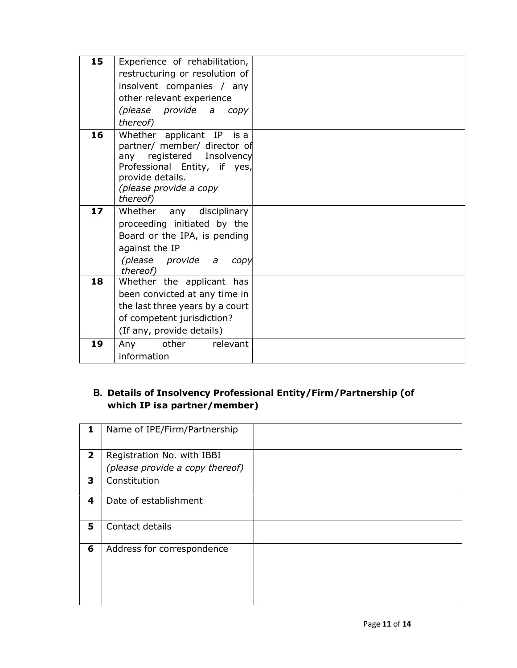| 15 | Experience of rehabilitation,                             |  |
|----|-----------------------------------------------------------|--|
|    | restructuring or resolution of                            |  |
|    | insolvent companies / any                                 |  |
|    | other relevant experience                                 |  |
|    | (please provide a copy                                    |  |
|    | thereof)                                                  |  |
| 16 | Whether applicant IP is a                                 |  |
|    | partner/ member/ director of                              |  |
|    | any registered Insolvency<br>Professional Entity, if yes, |  |
|    | provide details.                                          |  |
|    | (please provide a copy                                    |  |
|    | thereof)                                                  |  |
| 17 | Whether any disciplinary                                  |  |
|    | proceeding initiated by the                               |  |
|    | Board or the IPA, is pending                              |  |
|    | against the IP                                            |  |
|    | (please provide a<br>copy                                 |  |
|    | thereof)                                                  |  |
| 18 | Whether the applicant has                                 |  |
|    | been convicted at any time in                             |  |
|    | the last three years by a court                           |  |
|    | of competent jurisdiction?                                |  |
|    | (If any, provide details)                                 |  |
| 19 | other<br>Any<br>relevant                                  |  |
|    | information                                               |  |

# B. Details of Insolvency Professional Entity/Firm/Partnership (of which IP isa partner/member)

| 1                       | Name of IPE/Firm/Partnership    |  |
|-------------------------|---------------------------------|--|
| $\overline{\mathbf{2}}$ | Registration No. with IBBI      |  |
|                         | (please provide a copy thereof) |  |
| 3                       | Constitution                    |  |
| 4                       | Date of establishment           |  |
| 5                       | Contact details                 |  |
| 6                       | Address for correspondence      |  |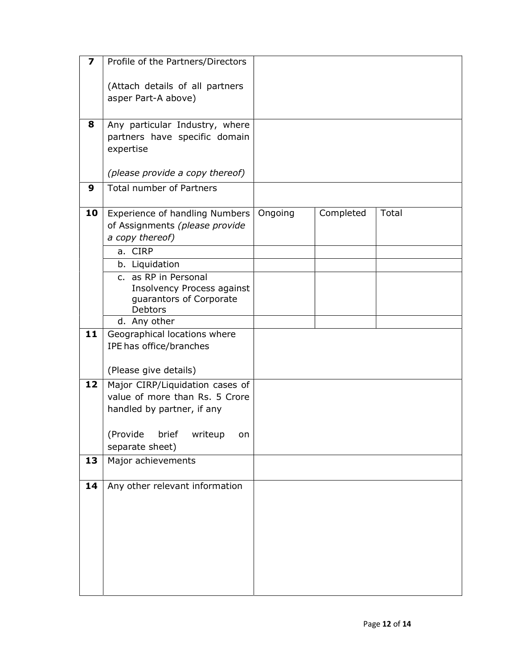| 7  | Profile of the Partners/Directors                                                                                                                        |         |           |       |
|----|----------------------------------------------------------------------------------------------------------------------------------------------------------|---------|-----------|-------|
|    | (Attach details of all partners<br>asper Part-A above)                                                                                                   |         |           |       |
| 8  | Any particular Industry, where<br>partners have specific domain<br>expertise                                                                             |         |           |       |
|    | (please provide a copy thereof)                                                                                                                          |         |           |       |
| 9  | <b>Total number of Partners</b>                                                                                                                          |         |           |       |
| 10 | Experience of handling Numbers<br>of Assignments (please provide<br>a copy thereof)                                                                      | Ongoing | Completed | Total |
|    | a. CIRP                                                                                                                                                  |         |           |       |
|    | b. Liquidation                                                                                                                                           |         |           |       |
|    | c. as RP in Personal<br>Insolvency Process against<br>guarantors of Corporate<br><b>Debtors</b>                                                          |         |           |       |
|    | d. Any other                                                                                                                                             |         |           |       |
| 11 | Geographical locations where<br>IPE has office/branches<br>(Please give details)                                                                         |         |           |       |
| 12 | Major CIRP/Liquidation cases of<br>value of more than Rs. 5 Crore<br>handled by partner, if any<br>(Provide<br>brief<br>writeup<br>on<br>separate sheet) |         |           |       |
| 13 | Major achievements                                                                                                                                       |         |           |       |
| 14 | Any other relevant information                                                                                                                           |         |           |       |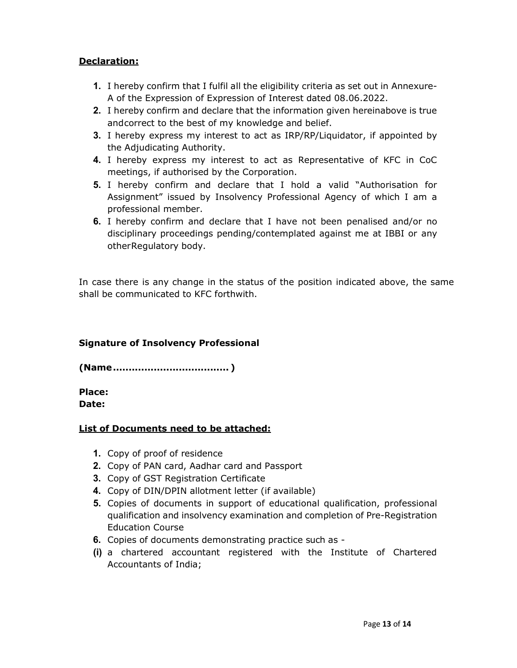#### Declaration:

- 1. I hereby confirm that I fulfil all the eligibility criteria as set out in Annexure-A of the Expression of Expression of Interest dated 08.06.2022.
- 2. I hereby confirm and declare that the information given hereinabove is true and correct to the best of my knowledge and belief.
- 3. I hereby express my interest to act as IRP/RP/Liquidator, if appointed by the Adjudicating Authority.
- 4. I hereby express my interest to act as Representative of KFC in CoC meetings, if authorised by the Corporation.
- 5. I hereby confirm and declare that I hold a valid "Authorisation for Assignment" issued by Insolvency Professional Agency of which I am a professional member.
- 6. I hereby confirm and declare that I have not been penalised and/or no disciplinary proceedings pending/contemplated against me at IBBI or any other Regulatory body.

In case there is any change in the status of the position indicated above, the same shall be communicated to KFC forthwith.

#### Signature of Insolvency Professional

(Name ..................................... )

Place: Date:

#### List of Documents need to be attached:

- 1. Copy of proof of residence
- 2. Copy of PAN card, Aadhar card and Passport
- 3. Copy of GST Registration Certificate
- 4. Copy of DIN/DPIN allotment letter (if available)
- 5. Copies of documents in support of educational qualification, professional qualification and insolvency examination and completion of Pre-Registration Education Course
- 6. Copies of documents demonstrating practice such as -
- (i) a chartered accountant registered with the Institute of Chartered Accountants of India;